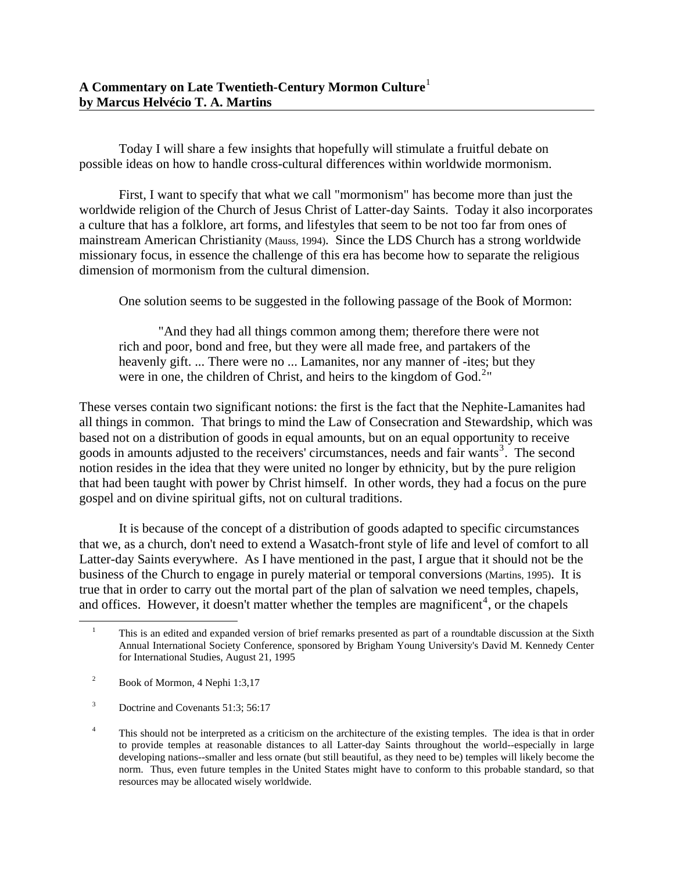Today I will share a few insights that hopefully will stimulate a fruitful debate on possible ideas on how to handle cross-cultural differences within worldwide mormonism.

First, I want to specify that what we call "mormonism" has become more than just the worldwide religion of the Church of Jesus Christ of Latter-day Saints. Today it also incorporates a culture that has a folklore, art forms, and lifestyles that seem to be not too far from ones of mainstream American Christianity (Mauss, 1994). Since the LDS Church has a strong worldwide missionary focus, in essence the challenge of this era has become how to separate the religious dimension of mormonism from the cultural dimension.

One solution seems to be suggested in the following passage of the Book of Mormon:

"And they had all things common among them; therefore there were not rich and poor, bond and free, but they were all made free, and partakers of the heavenly gift. ... There were no ... Lamanites, nor any manner of -ites; but they were in one, the children of Christ, and heirs to the kingdom of  $God.^2"$  $God.^2"$  $God.^2"$ 

These verses contain two significant notions: the first is the fact that the Nephite-Lamanites had all things in common. That brings to mind the Law of Consecration and Stewardship, which was based not on a distribution of goods in equal amounts, but on an equal opportunity to receive goods in amounts adjusted to the receivers' circumstances, needs and fair wants<sup>[3](#page-0-2)</sup>. The second notion resides in the idea that they were united no longer by ethnicity, but by the pure religion that had been taught with power by Christ himself. In other words, they had a focus on the pure gospel and on divine spiritual gifts, not on cultural traditions.

It is because of the concept of a distribution of goods adapted to specific circumstances that we, as a church, don't need to extend a Wasatch-front style of life and level of comfort to all Latter-day Saints everywhere. As I have mentioned in the past, I argue that it should not be the business of the Church to engage in purely material or temporal conversions (Martins, 1995). It is true that in order to carry out the mortal part of the plan of salvation we need temples, chapels, and offices. However, it doesn't matter whether the temples are magnificent<sup>[4](#page-0-3)</sup>, or the chapels

<span id="page-0-0"></span> $\overline{a}$ 

<sup>1</sup> This is an edited and expanded version of brief remarks presented as part of a roundtable discussion at the Sixth Annual International Society Conference, sponsored by Brigham Young University's David M. Kennedy Center for International Studies, August 21, 1995

<span id="page-0-1"></span><sup>2</sup> Book of Mormon, 4 Nephi 1:3,17

<span id="page-0-2"></span><sup>3</sup> Doctrine and Covenants 51:3; 56:17

<span id="page-0-3"></span><sup>4</sup> This should not be interpreted as a criticism on the architecture of the existing temples. The idea is that in order to provide temples at reasonable distances to all Latter-day Saints throughout the world--especially in large developing nations--smaller and less ornate (but still beautiful, as they need to be) temples will likely become the norm. Thus, even future temples in the United States might have to conform to this probable standard, so that resources may be allocated wisely worldwide.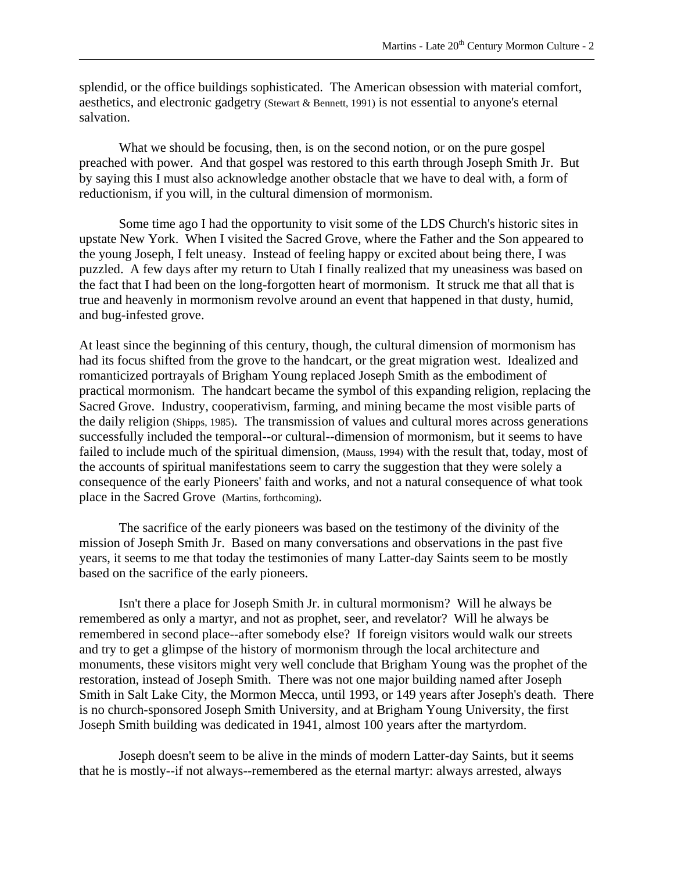splendid, or the office buildings sophisticated. The American obsession with material comfort, aesthetics, and electronic gadgetry (Stewart & Bennett, 1991) is not essential to anyone's eternal salvation.

What we should be focusing, then, is on the second notion, or on the pure gospel preached with power. And that gospel was restored to this earth through Joseph Smith Jr. But by saying this I must also acknowledge another obstacle that we have to deal with, a form of reductionism, if you will, in the cultural dimension of mormonism.

Some time ago I had the opportunity to visit some of the LDS Church's historic sites in upstate New York. When I visited the Sacred Grove, where the Father and the Son appeared to the young Joseph, I felt uneasy. Instead of feeling happy or excited about being there, I was puzzled. A few days after my return to Utah I finally realized that my uneasiness was based on the fact that I had been on the long-forgotten heart of mormonism. It struck me that all that is true and heavenly in mormonism revolve around an event that happened in that dusty, humid, and bug-infested grove.

At least since the beginning of this century, though, the cultural dimension of mormonism has had its focus shifted from the grove to the handcart, or the great migration west. Idealized and romanticized portrayals of Brigham Young replaced Joseph Smith as the embodiment of practical mormonism. The handcart became the symbol of this expanding religion, replacing the Sacred Grove. Industry, cooperativism, farming, and mining became the most visible parts of the daily religion (Shipps, 1985). The transmission of values and cultural mores across generations successfully included the temporal--or cultural--dimension of mormonism, but it seems to have failed to include much of the spiritual dimension, (Mauss, 1994) with the result that, today, most of the accounts of spiritual manifestations seem to carry the suggestion that they were solely a consequence of the early Pioneers' faith and works, and not a natural consequence of what took place in the Sacred Grove (Martins, forthcoming).

The sacrifice of the early pioneers was based on the testimony of the divinity of the mission of Joseph Smith Jr. Based on many conversations and observations in the past five years, it seems to me that today the testimonies of many Latter-day Saints seem to be mostly based on the sacrifice of the early pioneers.

Isn't there a place for Joseph Smith Jr. in cultural mormonism? Will he always be remembered as only a martyr, and not as prophet, seer, and revelator? Will he always be remembered in second place--after somebody else? If foreign visitors would walk our streets and try to get a glimpse of the history of mormonism through the local architecture and monuments, these visitors might very well conclude that Brigham Young was the prophet of the restoration, instead of Joseph Smith. There was not one major building named after Joseph Smith in Salt Lake City, the Mormon Mecca, until 1993, or 149 years after Joseph's death. There is no church-sponsored Joseph Smith University, and at Brigham Young University, the first Joseph Smith building was dedicated in 1941, almost 100 years after the martyrdom.

Joseph doesn't seem to be alive in the minds of modern Latter-day Saints, but it seems that he is mostly--if not always--remembered as the eternal martyr: always arrested, always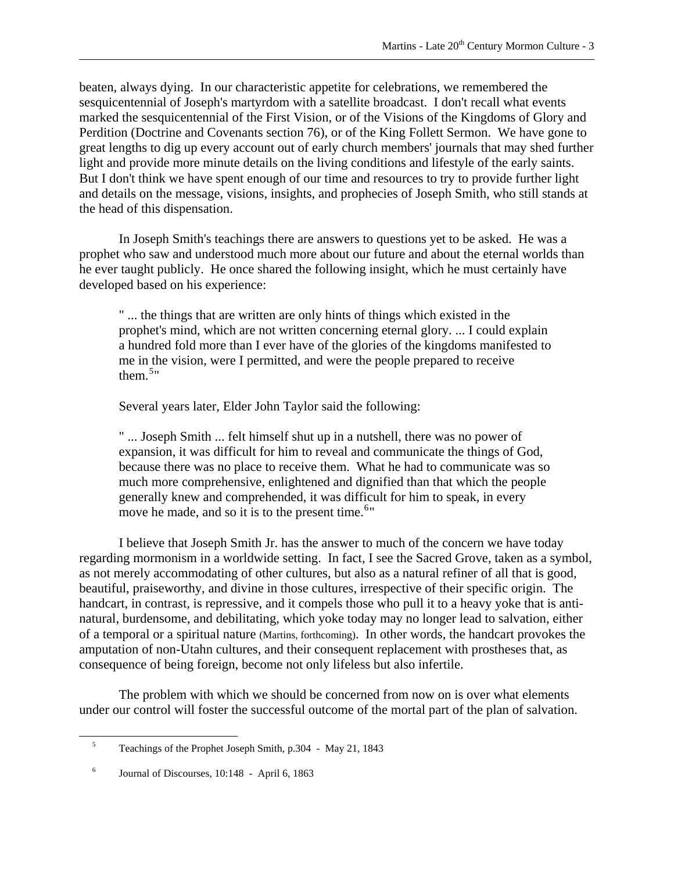beaten, always dying. In our characteristic appetite for celebrations, we remembered the sesquicentennial of Joseph's martyrdom with a satellite broadcast. I don't recall what events marked the sesquicentennial of the First Vision, or of the Visions of the Kingdoms of Glory and Perdition (Doctrine and Covenants section 76), or of the King Follett Sermon. We have gone to great lengths to dig up every account out of early church members' journals that may shed further light and provide more minute details on the living conditions and lifestyle of the early saints. But I don't think we have spent enough of our time and resources to try to provide further light and details on the message, visions, insights, and prophecies of Joseph Smith, who still stands at the head of this dispensation.

In Joseph Smith's teachings there are answers to questions yet to be asked. He was a prophet who saw and understood much more about our future and about the eternal worlds than he ever taught publicly. He once shared the following insight, which he must certainly have developed based on his experience:

" ... the things that are written are only hints of things which existed in the prophet's mind, which are not written concerning eternal glory. ... I could explain a hundred fold more than I ever have of the glories of the kingdoms manifested to me in the vision, were I permitted, and were the people prepared to receive them. $5"$  $5"$ 

Several years later, Elder John Taylor said the following:

" ... Joseph Smith ... felt himself shut up in a nutshell, there was no power of expansion, it was difficult for him to reveal and communicate the things of God, because there was no place to receive them. What he had to communicate was so much more comprehensive, enlightened and dignified than that which the people generally knew and comprehended, it was difficult for him to speak, in every move he made, and so it is to the present time.  $6"$  $6"$ 

I believe that Joseph Smith Jr. has the answer to much of the concern we have today regarding mormonism in a worldwide setting. In fact, I see the Sacred Grove, taken as a symbol, as not merely accommodating of other cultures, but also as a natural refiner of all that is good, beautiful, praiseworthy, and divine in those cultures, irrespective of their specific origin. The handcart, in contrast, is repressive, and it compels those who pull it to a heavy yoke that is antinatural, burdensome, and debilitating, which yoke today may no longer lead to salvation, either of a temporal or a spiritual nature (Martins, forthcoming). In other words, the handcart provokes the amputation of non-Utahn cultures, and their consequent replacement with prostheses that, as consequence of being foreign, become not only lifeless but also infertile.

The problem with which we should be concerned from now on is over what elements under our control will foster the successful outcome of the mortal part of the plan of salvation.

<span id="page-2-1"></span><span id="page-2-0"></span> $\overline{a}$ 

<sup>5</sup> Teachings of the Prophet Joseph Smith, p.304 - May 21, 1843

<sup>6</sup> Journal of Discourses, 10:148 - April 6, 1863